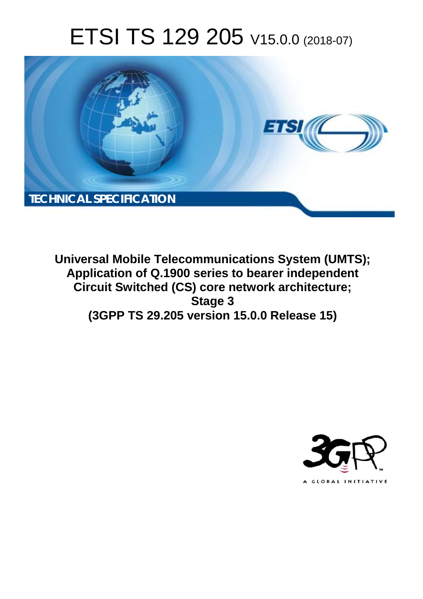# ETSI TS 129 205 V15.0.0 (2018-07)



**Universal Mobile Telecommunications System (UMTS); Application of Q.1900 series to bearer independent Circuit Switched (CS) core network architecture; Stage 3 (3GPP TS 29.205 version 15.0.0 Release 15)** 

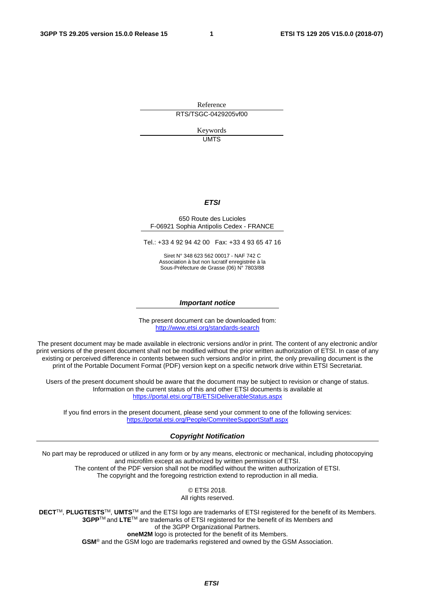Reference RTS/TSGC-0429205vf00

> Keywords UMTS

#### *ETSI*

#### 650 Route des Lucioles F-06921 Sophia Antipolis Cedex - FRANCE

Tel.: +33 4 92 94 42 00 Fax: +33 4 93 65 47 16

Siret N° 348 623 562 00017 - NAF 742 C Association à but non lucratif enregistrée à la Sous-Préfecture de Grasse (06) N° 7803/88

#### *Important notice*

The present document can be downloaded from: <http://www.etsi.org/standards-search>

The present document may be made available in electronic versions and/or in print. The content of any electronic and/or print versions of the present document shall not be modified without the prior written authorization of ETSI. In case of any existing or perceived difference in contents between such versions and/or in print, the only prevailing document is the print of the Portable Document Format (PDF) version kept on a specific network drive within ETSI Secretariat.

Users of the present document should be aware that the document may be subject to revision or change of status. Information on the current status of this and other ETSI documents is available at <https://portal.etsi.org/TB/ETSIDeliverableStatus.aspx>

If you find errors in the present document, please send your comment to one of the following services: <https://portal.etsi.org/People/CommiteeSupportStaff.aspx>

#### *Copyright Notification*

No part may be reproduced or utilized in any form or by any means, electronic or mechanical, including photocopying and microfilm except as authorized by written permission of ETSI. The content of the PDF version shall not be modified without the written authorization of ETSI. The copyright and the foregoing restriction extend to reproduction in all media.

> © ETSI 2018. All rights reserved.

**DECT**TM, **PLUGTESTS**TM, **UMTS**TM and the ETSI logo are trademarks of ETSI registered for the benefit of its Members. **3GPP**TM and **LTE**TM are trademarks of ETSI registered for the benefit of its Members and of the 3GPP Organizational Partners. **oneM2M** logo is protected for the benefit of its Members.

**GSM**® and the GSM logo are trademarks registered and owned by the GSM Association.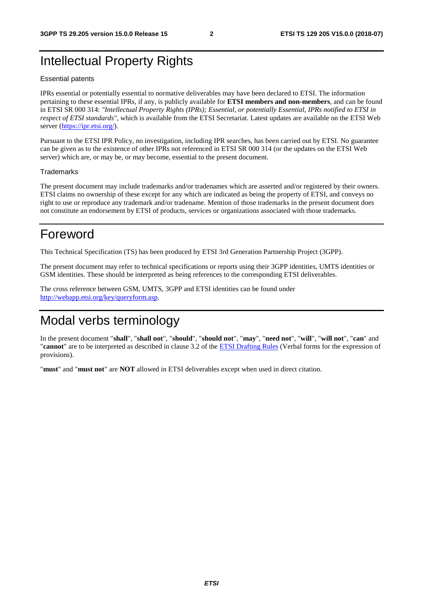## Intellectual Property Rights

#### Essential patents

IPRs essential or potentially essential to normative deliverables may have been declared to ETSI. The information pertaining to these essential IPRs, if any, is publicly available for **ETSI members and non-members**, and can be found in ETSI SR 000 314: *"Intellectual Property Rights (IPRs); Essential, or potentially Essential, IPRs notified to ETSI in respect of ETSI standards"*, which is available from the ETSI Secretariat. Latest updates are available on the ETSI Web server ([https://ipr.etsi.org/\)](https://ipr.etsi.org/).

Pursuant to the ETSI IPR Policy, no investigation, including IPR searches, has been carried out by ETSI. No guarantee can be given as to the existence of other IPRs not referenced in ETSI SR 000 314 (or the updates on the ETSI Web server) which are, or may be, or may become, essential to the present document.

#### **Trademarks**

The present document may include trademarks and/or tradenames which are asserted and/or registered by their owners. ETSI claims no ownership of these except for any which are indicated as being the property of ETSI, and conveys no right to use or reproduce any trademark and/or tradename. Mention of those trademarks in the present document does not constitute an endorsement by ETSI of products, services or organizations associated with those trademarks.

## Foreword

This Technical Specification (TS) has been produced by ETSI 3rd Generation Partnership Project (3GPP).

The present document may refer to technical specifications or reports using their 3GPP identities, UMTS identities or GSM identities. These should be interpreted as being references to the corresponding ETSI deliverables.

The cross reference between GSM, UMTS, 3GPP and ETSI identities can be found under [http://webapp.etsi.org/key/queryform.asp.](http://webapp.etsi.org/key/queryform.asp)

## Modal verbs terminology

In the present document "**shall**", "**shall not**", "**should**", "**should not**", "**may**", "**need not**", "**will**", "**will not**", "**can**" and "**cannot**" are to be interpreted as described in clause 3.2 of the [ETSI Drafting Rules](https://portal.etsi.org/Services/editHelp!/Howtostart/ETSIDraftingRules.aspx) (Verbal forms for the expression of provisions).

"**must**" and "**must not**" are **NOT** allowed in ETSI deliverables except when used in direct citation.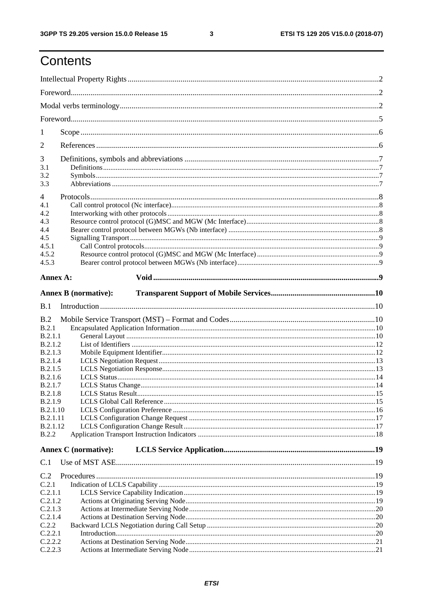## Contents

| 1              |                             |  |
|----------------|-----------------------------|--|
| 2              |                             |  |
| 3              |                             |  |
| 3.1            |                             |  |
| 3.2<br>3.3     |                             |  |
|                |                             |  |
| 4              |                             |  |
| 4.1            |                             |  |
| 4.2            |                             |  |
| 4.3            |                             |  |
| 4.4            |                             |  |
| 4.5            |                             |  |
| 4.5.1          |                             |  |
| 4.5.2          |                             |  |
| 4.5.3          |                             |  |
|                |                             |  |
| Annex A:       |                             |  |
|                | <b>Annex B</b> (normative): |  |
| B.1            |                             |  |
|                |                             |  |
| B.2            |                             |  |
| B.2.1          |                             |  |
| B.2.1.1        |                             |  |
| B.2.1.2        |                             |  |
| B.2.1.3        |                             |  |
| B.2.1.4        |                             |  |
| B.2.1.5        |                             |  |
| B.2.1.6        |                             |  |
| B.2.1.7        |                             |  |
| B.2.1.8        |                             |  |
| <b>B.2.1.9</b> |                             |  |
| B.2.1.10       |                             |  |
| B.2.1.11       |                             |  |
| B.2.1.12       |                             |  |
| <b>B.2.2</b>   |                             |  |
|                | <b>Annex C</b> (normative): |  |
| C.1            |                             |  |
| C.2            |                             |  |
| C.2.1          |                             |  |
| C.2.1.1        |                             |  |
| C.2.1.2        |                             |  |
| C.2.1.3        |                             |  |
| C.2.1.4        |                             |  |
| C.2.2          |                             |  |
| C.2.2.1        |                             |  |
| C.2.2.2        |                             |  |
| C.2.2.3        |                             |  |
|                |                             |  |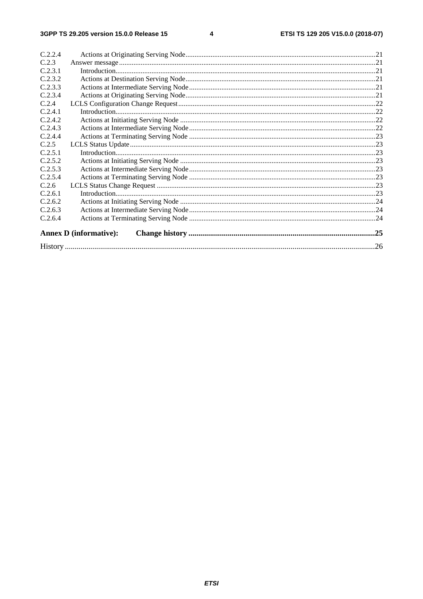$\overline{\mathbf{4}}$ 

| C.2.2.4 |                               |  |
|---------|-------------------------------|--|
| C.2.3   |                               |  |
| C.2.3.1 |                               |  |
| C.2.3.2 |                               |  |
| C.2.3.3 |                               |  |
| C.2.3.4 |                               |  |
| C.2.4   |                               |  |
| C.2.4.1 |                               |  |
| C.2.4.2 |                               |  |
| C.2.4.3 |                               |  |
| C.2.4.4 |                               |  |
| C.2.5   |                               |  |
| C.2.5.1 |                               |  |
| C.2.5.2 |                               |  |
| C.2.5.3 |                               |  |
| C.2.5.4 |                               |  |
| C.2.6   |                               |  |
| C.2.6.1 |                               |  |
| C.2.6.2 |                               |  |
| C.2.6.3 |                               |  |
| C.2.6.4 |                               |  |
|         | <b>Annex D</b> (informative): |  |
|         |                               |  |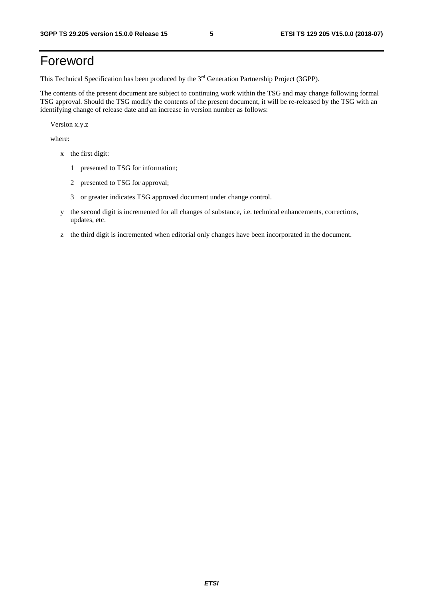## Foreword

This Technical Specification has been produced by the 3rd Generation Partnership Project (3GPP).

The contents of the present document are subject to continuing work within the TSG and may change following formal TSG approval. Should the TSG modify the contents of the present document, it will be re-released by the TSG with an identifying change of release date and an increase in version number as follows:

Version x.y.z

where:

- x the first digit:
	- 1 presented to TSG for information;
	- 2 presented to TSG for approval;
	- 3 or greater indicates TSG approved document under change control.
- y the second digit is incremented for all changes of substance, i.e. technical enhancements, corrections, updates, etc.
- z the third digit is incremented when editorial only changes have been incorporated in the document.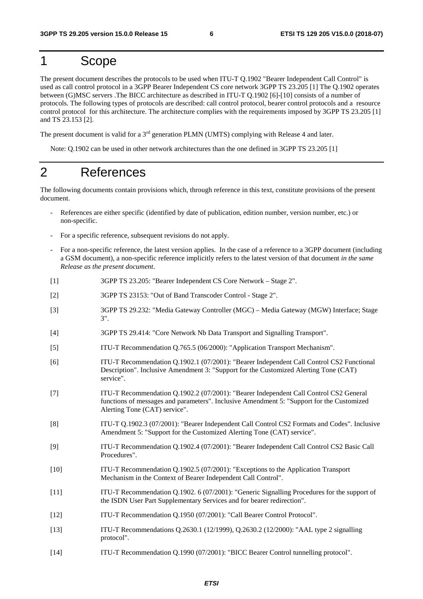## 1 Scope

The present document describes the protocols to be used when ITU-T Q.1902 "Bearer Independent Call Control" is used as call control protocol in a 3GPP Bearer Independent CS core network 3GPP TS 23.205 [1] The Q.1902 operates between (G)MSC servers .The BICC architecture as described in ITU-T Q.1902 [6]-[10] consists of a number of protocols. The following types of protocols are described: call control protocol, bearer control protocols and a resource control protocol for this architecture. The architecture complies with the requirements imposed by 3GPP TS 23.205 [1] and TS 23.153 [2].

The present document is valid for a 3<sup>rd</sup> generation PLMN (UMTS) complying with Release 4 and later.

Note: Q.1902 can be used in other network architectures than the one defined in 3GPP TS 23.205 [1]

## 2 References

The following documents contain provisions which, through reference in this text, constitute provisions of the present document.

- References are either specific (identified by date of publication, edition number, version number, etc.) or non-specific.
- For a specific reference, subsequent revisions do not apply.
- For a non-specific reference, the latest version applies. In the case of a reference to a 3GPP document (including a GSM document), a non-specific reference implicitly refers to the latest version of that document *in the same Release as the present document*.
- [1] 3GPP TS 23.205: "Bearer Independent CS Core Network Stage 2".
- [2] 3GPP TS 23153: "Out of Band Transcoder Control Stage 2".
- [3] 3GPP TS 29.232: "Media Gateway Controller (MGC) Media Gateway (MGW) Interface; Stage 3".
- [4] 3GPP TS 29.414: "Core Network Nb Data Transport and Signalling Transport".
- [5] ITU-T Recommendation Q.765.5 (06/2000): "Application Transport Mechanism".
- [6] ITU-T Recommendation Q.1902.1 (07/2001): "Bearer Independent Call Control CS2 Functional Description". Inclusive Amendment 3: "Support for the Customized Alerting Tone (CAT) service".
- [7] ITU-T Recommendation Q.1902.2 (07/2001): "Bearer Independent Call Control CS2 General functions of messages and parameters". Inclusive Amendment 5: "Support for the Customized Alerting Tone (CAT) service".
- [8] ITU-T Q.1902.3 (07/2001): "Bearer Independent Call Control CS2 Formats and Codes". Inclusive Amendment 5: "Support for the Customized Alerting Tone (CAT) service".
- [9] ITU-T Recommendation Q.1902.4 (07/2001): "Bearer Independent Call Control CS2 Basic Call Procedures".
- [10] ITU-T Recommendation Q.1902.5 (07/2001): "Exceptions to the Application Transport Mechanism in the Context of Bearer Independent Call Control".
- [11] ITU-T Recommendation Q.1902. 6 (07/2001): "Generic Signalling Procedures for the support of the ISDN User Part Supplementary Services and for bearer redirection".
- [12] ITU-T Recommendation Q.1950 (07/2001): "Call Bearer Control Protocol".
- [13] ITU-T Recommendations Q.2630.1 (12/1999), Q.2630.2 (12/2000): "AAL type 2 signalling protocol".
- [14] ITU-T Recommendation Q.1990 (07/2001): "BICC Bearer Control tunnelling protocol".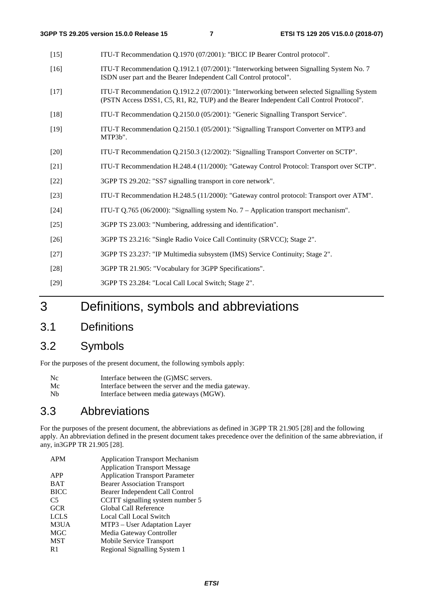| ITU-T Recommendation Q.1970 (07/2001): "BICC IP Bearer Control protocol".                                                                                                           |
|-------------------------------------------------------------------------------------------------------------------------------------------------------------------------------------|
| ITU-T Recommendation Q.1912.1 (07/2001): "Interworking between Signalling System No. 7<br>ISDN user part and the Bearer Independent Call Control protocol".                         |
| ITU-T Recommendation Q.1912.2 (07/2001): "Interworking between selected Signalling System<br>(PSTN Access DSS1, C5, R1, R2, TUP) and the Bearer Independent Call Control Protocol". |
| ITU-T Recommendation Q.2150.0 (05/2001): "Generic Signalling Transport Service".                                                                                                    |
| ITU-T Recommendation Q.2150.1 (05/2001): "Signalling Transport Converter on MTP3 and<br>MTP3b".                                                                                     |
| ITU-T Recommendation Q.2150.3 (12/2002): "Signalling Transport Converter on SCTP".                                                                                                  |
| ITU-T Recommendation H.248.4 (11/2000): "Gateway Control Protocol: Transport over SCTP".                                                                                            |
| 3GPP TS 29.202: "SS7 signalling transport in core network".                                                                                                                         |
| ITU-T Recommendation H.248.5 (11/2000): "Gateway control protocol: Transport over ATM".                                                                                             |
| ITU-T Q.765 (06/2000): "Signalling system No. 7 - Application transport mechanism".                                                                                                 |
| 3GPP TS 23.003: "Numbering, addressing and identification".                                                                                                                         |
| 3GPP TS 23.216: "Single Radio Voice Call Continuity (SRVCC); Stage 2".                                                                                                              |
| 3GPP TS 23.237: "IP Multimedia subsystem (IMS) Service Continuity; Stage 2".                                                                                                        |
| 3GPP TR 21.905: "Vocabulary for 3GPP Specifications".                                                                                                                               |
| 3GPP TS 23.284: "Local Call Local Switch; Stage 2".                                                                                                                                 |
|                                                                                                                                                                                     |

- 3 Definitions, symbols and abbreviations
- 3.1 Definitions

## 3.2 Symbols

For the purposes of the present document, the following symbols apply:

| N <sub>c</sub> | Interface between the (G)MSC servers.               |
|----------------|-----------------------------------------------------|
| Mc             | Interface between the server and the media gateway. |
| <b>Nb</b>      | Interface between media gateways (MGW).             |

## 3.3 Abbreviations

For the purposes of the present document, the abbreviations as defined in 3GPP TR 21.905 [28] and the following apply. An abbreviation defined in the present document takes precedence over the definition of the same abbreviation, if any, in3GPP TR 21.905 [28].

| <b>APM</b>     | <b>Application Transport Mechanism</b> |
|----------------|----------------------------------------|
|                | <b>Application Transport Message</b>   |
| APP            | <b>Application Transport Parameter</b> |
| <b>BAT</b>     | <b>Bearer Association Transport</b>    |
| <b>BICC</b>    | Bearer Independent Call Control        |
| C <sub>5</sub> | CCITT signalling system number 5       |
| <b>GCR</b>     | Global Call Reference                  |
| <b>LCLS</b>    | Local Call Local Switch                |
| M3UA           | MTP3 – User Adaptation Layer           |
| <b>MGC</b>     | Media Gateway Controller               |
| <b>MST</b>     | Mobile Service Transport               |
| R1             | Regional Signalling System 1           |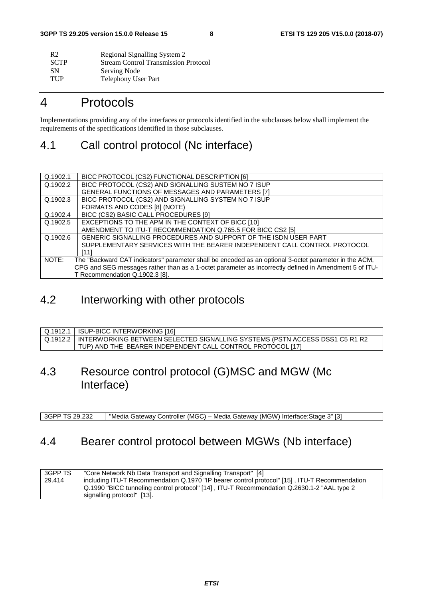| R <sub>2</sub> | Regional Signalling System 2                |
|----------------|---------------------------------------------|
| <b>SCTP</b>    | <b>Stream Control Transmission Protocol</b> |
| <b>SN</b>      | Serving Node                                |
| <b>TUP</b>     | <b>Telephony User Part</b>                  |

## 4 Protocols

Implementations providing any of the interfaces or protocols identified in the subclauses below shall implement the requirements of the specifications identified in those subclauses.

## 4.1 Call control protocol (Nc interface)

| Q.1902.1 | BICC PROTOCOL (CS2) FUNCTIONAL DESCRIPTION [6]                                                        |
|----------|-------------------------------------------------------------------------------------------------------|
| Q.1902.2 | BICC PROTOCOL (CS2) AND SIGNALLING SUSTEM NO 7 ISUP                                                   |
|          | GENERAL FUNCTIONS OF MESSAGES AND PARAMETERS [7]                                                      |
| Q.1902.3 | BICC PROTOCOL (CS2) AND SIGNALLING SYSTEM NO 7 ISUP                                                   |
|          | FORMATS AND CODES [8] (NOTE)                                                                          |
| Q.1902.4 | BICC (CS2) BASIC CALL PROCEDURES [9]                                                                  |
| Q.1902.5 | EXCEPTIONS TO THE APM IN THE CONTEXT OF BICC [10]                                                     |
|          | AMENDMENT TO ITU-T RECOMMENDATION Q.765.5 FOR BICC CS2 [5]                                            |
| Q.1902.6 | GENERIC SIGNALLING PROCEDURES AND SUPPORT OF THE ISDN USER PART                                       |
|          | SUPPLEMENTARY SERVICES WITH THE BEARER INDEPENDENT CALL CONTROL PROTOCOL                              |
|          | [11]                                                                                                  |
| NOTE:    | The "Backward CAT indicators" parameter shall be encoded as an optional 3-octet parameter in the ACM, |
|          | CPG and SEG messages rather than as a 1-octet parameter as incorrectly defined in Amendment 5 of ITU- |
|          | T Recommendation Q.1902.3 [8].                                                                        |

## 4.2 Interworking with other protocols

| Q.1912.1   ISUP-BICC INTERWORKING [16]                                                 |
|----------------------------------------------------------------------------------------|
| │Q.1912.2 │INTERWORKING BETWEEN SELECTED SIGNALLING SYSTEMS (PSTN ACCESS DSS1 C5 R1 R2 |
| TUP) AND THE BEARER INDEPENDENT CALL CONTROL PROTOCOL [17]                             |

## 4.3 Resource control protocol (G)MSC and MGW (Mc Interface)

3GPP TS 29.232 "Media Gateway Controller (MGC) – Media Gateway (MGW) Interface;Stage 3" [3]

## 4.4 Bearer control protocol between MGWs (Nb interface)

| 3GPP TS | "Core Network Nb Data Transport and Signalling Transport" [4]                                 |
|---------|-----------------------------------------------------------------------------------------------|
| 29.414  | including ITU-T Recommendation Q.1970 "IP bearer control protocol" [15], ITU-T Recommendation |
|         | Q.1990 "BICC tunneling control protocol" [14], ITU-T Recommendation Q.2630.1-2 "AAL type 2    |
|         | signalling protocol" [13].                                                                    |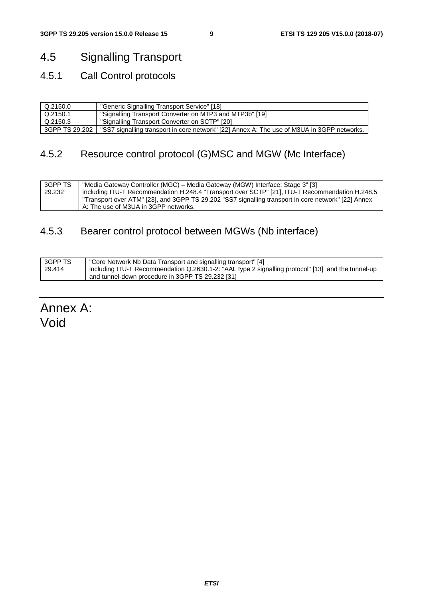## 4.5 Signalling Transport

## 4.5.1 Call Control protocols

| Q.2150.0       | "Generic Signalling Transport Service" [18]                                                |
|----------------|--------------------------------------------------------------------------------------------|
| Q.2150.1       | "Signalling Transport Converter on MTP3 and MTP3b" [19]                                    |
| Q.2150.3       | "Signalling Transport Converter on SCTP" [20]                                              |
| 3GPP TS 29.202 | "SS7 signalling transport in core network" [22] Annex A: The use of M3UA in 3GPP networks. |

## 4.5.2 Resource control protocol (G)MSC and MGW (Mc Interface)

| 3GPP TS | "Media Gateway Controller (MGC) - Media Gateway (MGW) Interface; Stage 3" [3]                       |
|---------|-----------------------------------------------------------------------------------------------------|
| 29.232  | including ITU-T Recommendation H.248.4 "Transport over SCTP" [21], ITU-T Recommendation H.248.5     |
|         | "Transport over ATM" [23], and 3GPP TS 29.202 "SS7 signalling transport in core network" [22] Annex |
|         | A: The use of M3UA in 3GPP networks.                                                                |

## 4.5.3 Bearer control protocol between MGWs (Nb interface)

| 3GPP TS | "Core Network Nb Data Transport and signalling transport" [4]                                      |
|---------|----------------------------------------------------------------------------------------------------|
| 29.414  | including ITU-T Recommendation Q.2630.1-2: "AAL type 2 signalling protocol" [13] and the tunnel-up |
|         | and tunnel-down procedure in 3GPP TS 29.232 [31]                                                   |

Annex A: Void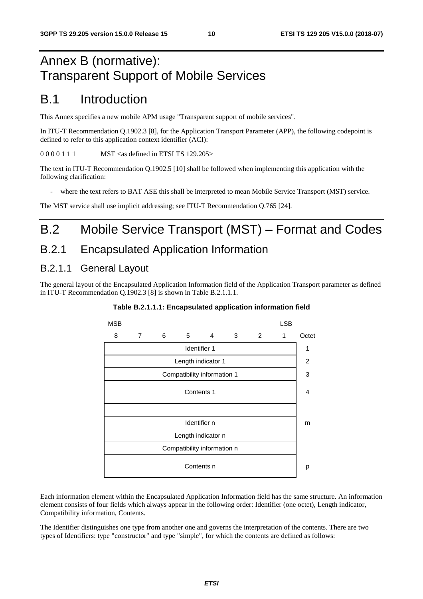## Annex B (normative): Transparent Support of Mobile Services

## B.1 Introduction

This Annex specifies a new mobile APM usage "Transparent support of mobile services".

In ITU-T Recommendation Q.1902.3 [8], for the Application Transport Parameter (APP), the following codepoint is defined to refer to this application context identifier (ACI):

0 0 0 0 1 1 1 MST <as defined in ETSI TS 129.205>

The text in ITU-T Recommendation Q.1902.5 [10] shall be followed when implementing this application with the following clarification:

where the text refers to BAT ASE this shall be interpreted to mean Mobile Service Transport (MST) service.

The MST service shall use implicit addressing; see ITU-T Recommendation Q.765 [24].

## B.2 Mobile Service Transport (MST) – Format and Codes

## B.2.1 Encapsulated Application Information

### B.2.1.1 General Layout

The general layout of the Encapsulated Application Information field of the Application Transport parameter as defined in ITU-T Recommendation Q.1902.3 [8] is shown in Table B.2.1.1.1.



#### **Table B.2.1.1.1: Encapsulated application information field**

Each information element within the Encapsulated Application Information field has the same structure. An information element consists of four fields which always appear in the following order: Identifier (one octet), Length indicator, Compatibility information, Contents.

The Identifier distinguishes one type from another one and governs the interpretation of the contents. There are two types of Identifiers: type "constructor" and type "simple", for which the contents are defined as follows: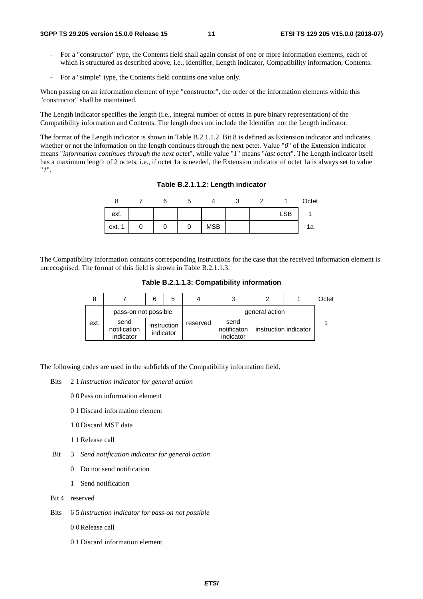- For a "constructor" type, the Contents field shall again consist of one or more information elements, each of which is structured as described above, i.e., Identifier, Length indicator, Compatibility information, Contents.
- For a "simple" type, the Contents field contains one value only.

When passing on an information element of type "constructor", the order of the information elements within this "constructor" shall be maintained.

The Length indicator specifies the length (i.e., integral number of octets in pure binary representation) of the Compatibility information and Contents. The length does not include the Identifier nor the Length indicator.

The format of the Length indicator is shown in Table B.2.1.1.2. Bit 8 is defined as Extension indicator and indicates whether or not the information on the length continues through the next octet. Value "0" of the Extension indicator means "*information continues through the next octet*", while value "*1*" means "*last octet*". The Length indicator itself has a maximum length of 2 octets, i.e., if octet 1a is needed, the Extension indicator of octet 1a is always set to value "*1*".

**Table B.2.1.1.2: Length indicator** 

| u          |  | J |            | ັ |            | Octet |
|------------|--|---|------------|---|------------|-------|
| ext.       |  |   |            |   | <b>LSB</b> |       |
| ext.<br>-4 |  | U | <b>MSB</b> |   |            | 1a    |

The Compatibility information contains corresponding instructions for the case that the received information element is unrecognised. The format of this field is shown in Table B.2.1.1.3.

**Table B.2.1.1.3: Compatibility information** 

|      |                                   |             | 5         | 4        | 3                                | າ                     | Octet |
|------|-----------------------------------|-------------|-----------|----------|----------------------------------|-----------------------|-------|
|      | pass-on not possible              |             |           |          |                                  | general action        |       |
| ext. | send<br>notification<br>indicator | instruction | indicator | reserved | send<br>notificaton<br>indicator | instruction indicator |       |

The following codes are used in the subfields of the Compatibility information field.

- Bits 2 1 *Instruction indicator for general action*
	- 0 0 Pass on information element
	- 0 1 Discard information element
	- 1 0 Discard MST data
	- 1 1 Release call
- Bit 3 *Send notification indicator for general action* 
	- 0 Do not send notification
	- 1 Send notification
- Bit 4 reserved
- Bits 6 5 *Instruction indicator for pass-on not possible* 
	- 0 0 Release call
	- 0 1 Discard information element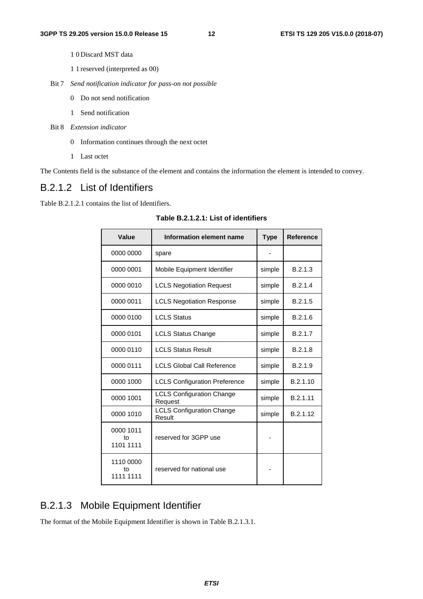- 1 0 Discard MST data
- 1 1 reserved (interpreted as 00)
- Bit 7 *Send notification indicator for pass-on not possible* 
	- 0 Do not send notification
	- 1 Send notification
- Bit 8 *Extension indicator*
	- 0 Information continues through the next octet
	- 1 Last octet

The Contents field is the substance of the element and contains the information the element is intended to convey.

### B.2.1.2 List of Identifiers

Table B.2.1.2.1 contains the list of Identifiers.

| Value                        | Information element name                    | <b>Type</b> | <b>Reference</b> |
|------------------------------|---------------------------------------------|-------------|------------------|
| 0000 0000                    | spare                                       |             |                  |
| 0000 0001                    | Mobile Equipment Identifier                 | simple      | B.2.1.3          |
| 0000 0010                    | <b>LCLS Negotiation Request</b>             | simple      | B.2.1.4          |
| 0000 0011                    | <b>LCLS Negotiation Response</b>            | simple      | B.2.1.5          |
| 0000 0100                    | <b>LCLS Status</b>                          | simple      | B.2.1.6          |
| 0000 0101                    | <b>LCLS Status Change</b>                   | simple      | B.2.1.7          |
| 0000 0110                    | <b>LCLS Status Result</b>                   | simple      | B.2.1.8          |
| 0000 0111                    | <b>LCLS Global Call Reference</b>           | simple      | B.2.1.9          |
| 0000 1000                    | <b>LCLS Configuration Preference</b>        | simple      | B.2.1.10         |
| 0000 1001                    | <b>LCLS Configuration Change</b><br>Request | simple      | B.2.1.11         |
| 0000 1010                    | <b>LCLS Configuration Change</b><br>Result  | simple      | B.2.1.12         |
| 0000 1011<br>to<br>1101 1111 | reserved for 3GPP use                       |             |                  |
| 1110 0000<br>t٥<br>1111 1111 | reserved for national use                   |             |                  |

**Table B.2.1.2.1: List of identifiers** 

## B.2.1.3 Mobile Equipment Identifier

The format of the Mobile Equipment Identifier is shown in Table B.2.1.3.1.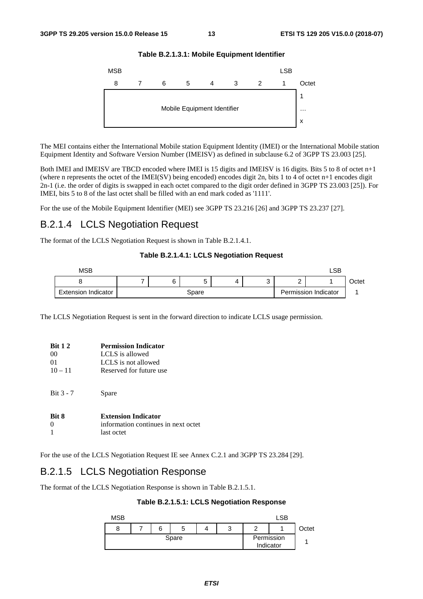

**Table B.2.1.3.1: Mobile Equipment Identifier** 

The MEI contains either the International Mobile station Equipment Identity (IMEI) or the International Mobile station Equipment Identity and Software Version Number (IMEISV) as defined in subclause 6.2 of 3GPP TS 23.003 [25].

Both IMEI and IMEISV are TBCD encoded where IMEI is 15 digits and IMEISV is 16 digits. Bits 5 to 8 of octet n+1 (where n represents the octet of the IMEI(SV) being encoded) encodes digit 2n, bits 1 to 4 of octet n+1 encodes digit 2n-1 (i.e. the order of digits is swapped in each octet compared to the digit order defined in 3GPP TS 23.003 [25]). For IMEI, bits 5 to 8 of the last octet shall be filled with an end mark coded as '1111'.

For the use of the Mobile Equipment Identifier (MEI) see 3GPP TS 23.216 [26] and 3GPP TS 23.237 [27].

### B.2.1.4 LCLS Negotiation Request

The format of the LCLS Negotiation Request is shown in Table B.2.1.4.1.

#### **Table B.2.1.4.1: LCLS Negotiation Request**



The LCLS Negotiation Request is sent in the forward direction to indicate LCLS usage permission.

| <b>Bit 1 2</b> | <b>Permission Indicator</b>         |
|----------------|-------------------------------------|
| 00             | LCLS is allowed                     |
| 01             | LCLS is not allowed                 |
| $10 - 11$      | Reserved for future use             |
| Bit $3 - 7$    | Spare                               |
| <b>Rit 8</b>   | <b>Extension Indicator</b>          |
|                | information continues in next octet |
|                | last octet                          |

For the use of the LCLS Negotiation Request IE see Annex C.2.1 and 3GPP TS 23.284 [29].

### B.2.1.5 LCLS Negotiation Response

The format of the LCLS Negotiation Response is shown in Table B.2.1.5.1.

**Table B.2.1.5.1: LCLS Negotiation Response** 

| <b>MSB</b> |  |   |   |  |   | LSB                     |       |
|------------|--|---|---|--|---|-------------------------|-------|
|            |  | 6 | b |  | w |                         | Octet |
| Spare      |  |   |   |  |   | Permission<br>Indicator |       |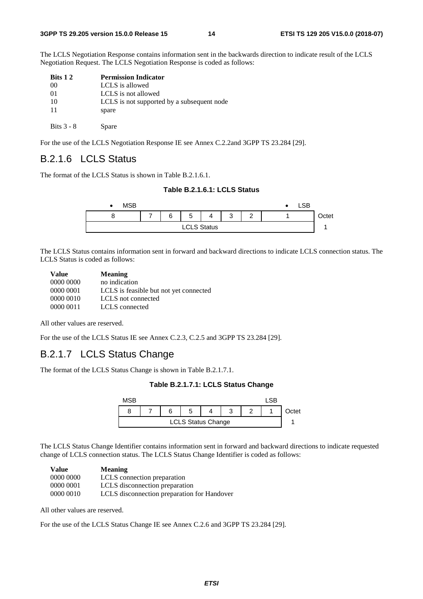The LCLS Negotiation Response contains information sent in the backwards direction to indicate result of the LCLS Negotiation Request. The LCLS Negotiation Response is coded as follows:

| Bits 1 2     | <b>Permission Indicator</b>                |
|--------------|--------------------------------------------|
| 00           | LCLS is allowed                            |
| 01           | LCLS is not allowed                        |
| 10           | LCLS is not supported by a subsequent node |
| 11           | spare                                      |
| Bits $3 - 8$ | Spare                                      |

For the use of the LCLS Negotiation Response IE see Annex C.2.2and 3GPP TS 23.284 [29].

### B.2.1.6 LCLS Status

The format of the LCLS Status is shown in Table B.2.1.6.1.

#### **Table B.2.1.6.1: LCLS Status**



The LCLS Status contains information sent in forward and backward directions to indicate LCLS connection status. The LCLS Status is coded as follows:

| <b>Value</b> | <b>Meaning</b>                         |
|--------------|----------------------------------------|
| 0000 0000    | no indication                          |
| 0000 0001    | LCLS is feasible but not yet connected |
| 0000 0010    | LCLS not connected                     |
| 0000 0011    | LCLS connected                         |

All other values are reserved.

For the use of the LCLS Status IE see Annex C.2.3, C.2.5 and 3GPP TS 23.284 [29].

### B.2.1.7 LCLS Status Change

The format of the LCLS Status Change is shown in Table B.2.1.7.1.

#### **Table B.2.1.7.1: LCLS Status Change**

| MSB.                      |  |  |   |  |  |  |       |
|---------------------------|--|--|---|--|--|--|-------|
|                           |  |  | G |  |  |  | )ctet |
| <b>LCLS Status Change</b> |  |  |   |  |  |  |       |

The LCLS Status Change Identifier contains information sent in forward and backward directions to indicate requested change of LCLS connection status. The LCLS Status Change Identifier is coded as follows:

| <b>Value</b> | <b>Meaning</b>                              |
|--------------|---------------------------------------------|
| 0000 0000    | LCLS connection preparation                 |
| 0000 0001    | LCLS disconnection preparation              |
| 0000 0010    | LCLS disconnection preparation for Handover |

All other values are reserved.

For the use of the LCLS Status Change IE see Annex C.2.6 and 3GPP TS 23.284 [29].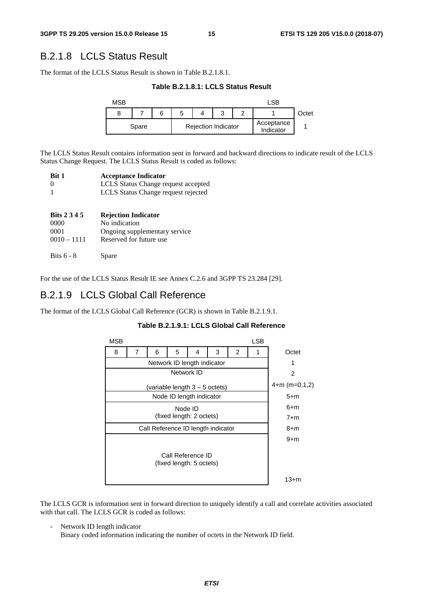### B.2.1.8 LCLS Status Result

The format of the LCLS Status Result is shown in Table B.2.1.8.1.

**Table B.2.1.8.1: LCLS Status Result** 



The LCLS Status Result contains information sent in forward and backward directions to indicate result of the LCLS Status Change Request. The LCLS Status Result is coded as follows:

| <b>Bit 1</b> | <b>Acceptance Indicator</b>         |
|--------------|-------------------------------------|
| - ()         | LCLS Status Change request accepted |
|              | LCLS Status Change request rejected |

| <b>Bits 2 3 4 5</b>   | <b>Rejection Indicator</b>                               |
|-----------------------|----------------------------------------------------------|
| 0000                  | No indication                                            |
| 0001<br>$0010 - 1111$ | Ongoing supplementary service<br>Reserved for future use |
| Bits $6 - 8$          | Spare                                                    |

For the use of the LCLS Status Result IE see Annex C.2.6 and 3GPP TS 23.284 [29].

### B.2.1.9 LCLS Global Call Reference

The format of the LCLS Global Call Reference (GCR) is shown in Table B.2.1.9.1.

|  | Table B.2.1.9.1: LCLS Global Call Reference |
|--|---------------------------------------------|
|--|---------------------------------------------|



The LCLS GCR is information sent in forward direction to uniquely identify a call and correlate activities associated with that call. The LCLS GCR is coded as follows:

Network ID length indicator

Binary coded information indicating the number of octets in the Network ID field.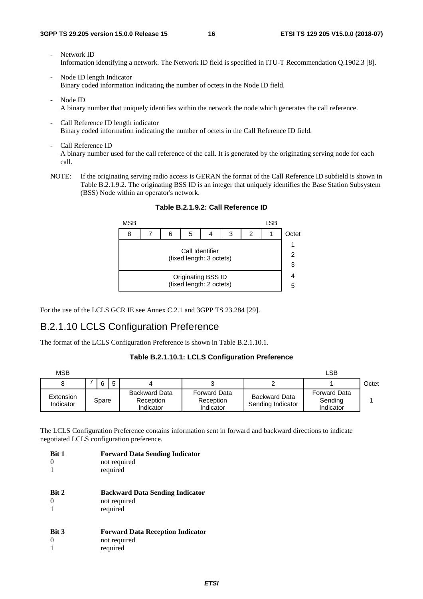- Network ID Information identifying a network. The Network ID field is specified in ITU-T Recommendation Q.1902.3 [8].
- Node ID length Indicator Binary coded information indicating the number of octets in the Node ID field.
- Node ID A binary number that uniquely identifies within the network the node which generates the call reference.
- Call Reference ID length indicator Binary coded information indicating the number of octets in the Call Reference ID field.
- Call Reference ID A binary number used for the call reference of the call. It is generated by the originating serving node for each call.
- NOTE: If the originating serving radio access is GERAN the format of the Call Reference ID subfield is shown in Table B.2.1.9.2. The originating BSS ID is an integer that uniquely identifies the Base Station Subsystem (BSS) Node within an operator's network.



**Table B.2.1.9.2: Call Reference ID** 

For the use of the LCLS GCR IE see Annex C.2.1 and 3GPP TS 23.284 [29].

### B.2.1.10 LCLS Configuration Preference

The format of the LCLS Configuration Preference is shown in Table B.2.1.10.1.

#### **Table B.2.1.10.1: LCLS Configuration Preference**

| <b>MSB</b>             |       |   |                                         |                                               |                                           | LSB                                         |       |
|------------------------|-------|---|-----------------------------------------|-----------------------------------------------|-------------------------------------------|---------------------------------------------|-------|
|                        |       | 6 |                                         |                                               |                                           |                                             | Octet |
| Extension<br>Indicator | Spare |   | Backward Data<br>Reception<br>Indicator | <b>Forward Data</b><br>Reception<br>Indicator | <b>Backward Data</b><br>Sending Indicator | <b>Forward Data</b><br>Sending<br>Indicator |       |

The LCLS Configuration Preference contains information sent in forward and backward directions to indicate negotiated LCLS configuration preference.

| <b>Bit 1</b> | <b>Forward Data Sending Indicator</b><br>not required<br>required   |
|--------------|---------------------------------------------------------------------|
| <b>Bit 2</b> | <b>Backward Data Sending Indicator</b><br>not required<br>required  |
| <b>Bit 3</b> | <b>Forward Data Reception Indicator</b><br>not required<br>required |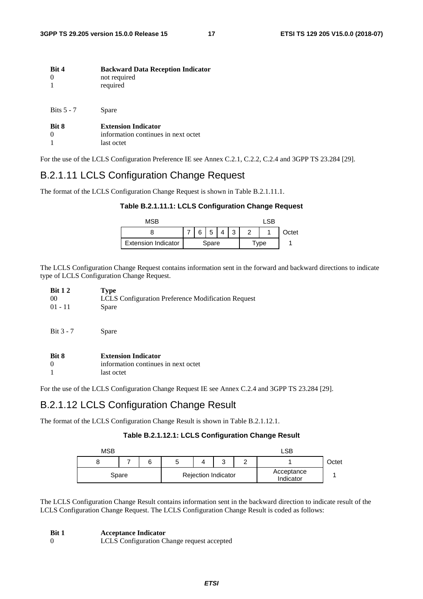| Bit 4        | <b>Backward Data Reception Indicator</b><br>not required<br>required            |
|--------------|---------------------------------------------------------------------------------|
| Bits $5 - 7$ | Spare                                                                           |
| Bit 8        | <b>Extension Indicator</b><br>information continues in next octet<br>last octet |

For the use of the LCLS Configuration Preference IE see Annex C.2.1, C.2.2, C.2.4 and 3GPP TS 23.284 [29].

### B.2.1.11 LCLS Configuration Change Request

The format of the LCLS Configuration Change Request is shown in Table B.2.1.11.1.

| MSB                        |       |  |         |  |  | ∣ SR |       |
|----------------------------|-------|--|---------|--|--|------|-------|
|                            |       |  | 6 5 4 3 |  |  |      | Octet |
| <b>Extension Indicator</b> | Spare |  |         |  |  | Tvpe |       |

**Table B.2.1.11.1: LCLS Configuration Change Request** 

The LCLS Configuration Change Request contains information sent in the forward and backward directions to indicate type of LCLS Configuration Change Request.

| <b>Bit 12</b><br>00<br>$01 - 11$ | <b>Type</b><br>LCLS Configuration Preference Modification Request<br>Spare      |
|----------------------------------|---------------------------------------------------------------------------------|
| Bit $3 - 7$                      | Spare                                                                           |
| Bit 8                            | <b>Extension Indicator</b><br>information continues in next octet<br>last octet |

For the use of the LCLS Configuration Change Request IE see Annex C.2.4 and 3GPP TS 23.284 [29].

### B.2.1.12 LCLS Configuration Change Result

The format of the LCLS Configuration Change Result is shown in Table B.2.1.12.1.

#### **Table B.2.1.12.1: LCLS Configuration Change Result**

| MSB   |  | LSP. |                            |                         |  |  |       |
|-------|--|------|----------------------------|-------------------------|--|--|-------|
| 8     |  |      |                            | $\sqrt{2}$<br>ື         |  |  | Octet |
| Spare |  |      | <b>Rejection Indicator</b> | Acceptance<br>Indicator |  |  |       |

The LCLS Configuration Change Result contains information sent in the backward direction to indicate result of the LCLS Configuration Change Request. The LCLS Configuration Change Result is coded as follows:

| Bit 1 | <b>Acceptance Indicator</b> |
|-------|-----------------------------|
|-------|-----------------------------|

0 LCLS Configuration Change request accepted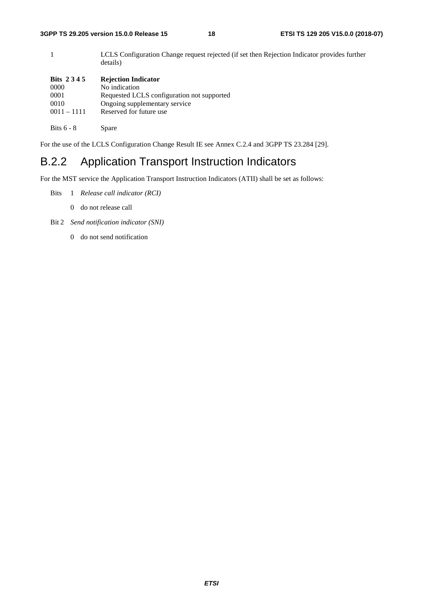1 LCLS Configuration Change request rejected (if set then Rejection Indicator provides further details) **Bits 2 3 4 5 Rejection Indicator**  0000 No indication 0001 Requested LCLS configuration not supported 0010 Ongoing supplementary service 0011 – 1111 Reserved for future use

Bits 6 - 8 Spare

For the use of the LCLS Configuration Change Result IE see Annex C.2.4 and 3GPP TS 23.284 [29].

## B.2.2 Application Transport Instruction Indicators

For the MST service the Application Transport Instruction Indicators (ATII) shall be set as follows:

- Bits 1 *Release call indicator (RCI)* 
	- 0 do not release call
- Bit 2 *Send notification indicator (SNI)*
	- 0 do not send notification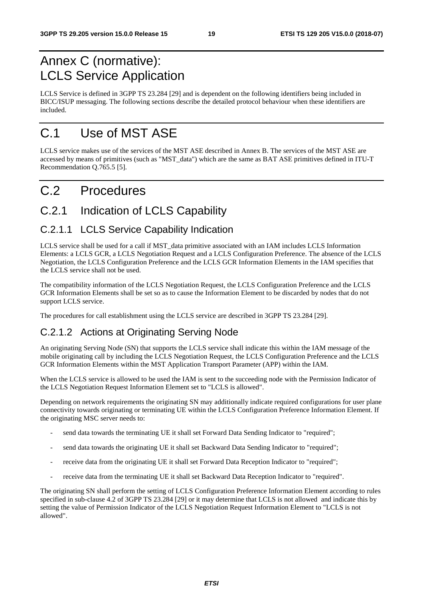## Annex C (normative): LCLS Service Application

LCLS Service is defined in 3GPP TS 23.284 [29] and is dependent on the following identifiers being included in BICC/ISUP messaging. The following sections describe the detailed protocol behaviour when these identifiers are included.

## C.1 Use of MST ASE

LCLS service makes use of the services of the MST ASE described in Annex B. The services of the MST ASE are accessed by means of primitives (such as "MST\_data") which are the same as BAT ASE primitives defined in ITU-T Recommendation Q.765.5 [5].

## C.2 Procedures

## C.2.1 Indication of LCLS Capability

### C.2.1.1 LCLS Service Capability Indication

LCLS service shall be used for a call if MST\_data primitive associated with an IAM includes LCLS Information Elements: a LCLS GCR, a LCLS Negotiation Request and a LCLS Configuration Preference. The absence of the LCLS Negotiation, the LCLS Configuration Preference and the LCLS GCR Information Elements in the IAM specifies that the LCLS service shall not be used.

The compatibility information of the LCLS Negotiation Request, the LCLS Configuration Preference and the LCLS GCR Information Elements shall be set so as to cause the Information Element to be discarded by nodes that do not support LCLS service.

The procedures for call establishment using the LCLS service are described in 3GPP TS 23.284 [29].

## C.2.1.2 Actions at Originating Serving Node

An originating Serving Node (SN) that supports the LCLS service shall indicate this within the IAM message of the mobile originating call by including the LCLS Negotiation Request, the LCLS Configuration Preference and the LCLS GCR Information Elements within the MST Application Transport Parameter (APP) within the IAM.

When the LCLS service is allowed to be used the IAM is sent to the succeeding node with the Permission Indicator of the LCLS Negotiation Request Information Element set to "LCLS is allowed".

Depending on network requirements the originating SN may additionally indicate required configurations for user plane connectivity towards originating or terminating UE within the LCLS Configuration Preference Information Element. If the originating MSC server needs to:

- send data towards the terminating UE it shall set Forward Data Sending Indicator to "required";
- send data towards the originating UE it shall set Backward Data Sending Indicator to "required";
- receive data from the originating UE it shall set Forward Data Reception Indicator to "required";
- receive data from the terminating UE it shall set Backward Data Reception Indicator to "required".

The originating SN shall perform the setting of LCLS Configuration Preference Information Element according to rules specified in sub-clause 4.2 of 3GPP TS 23.284 [29] or it may determine that LCLS is not allowed and indicate this by setting the value of Permission Indicator of the LCLS Negotiation Request Information Element to "LCLS is not allowed".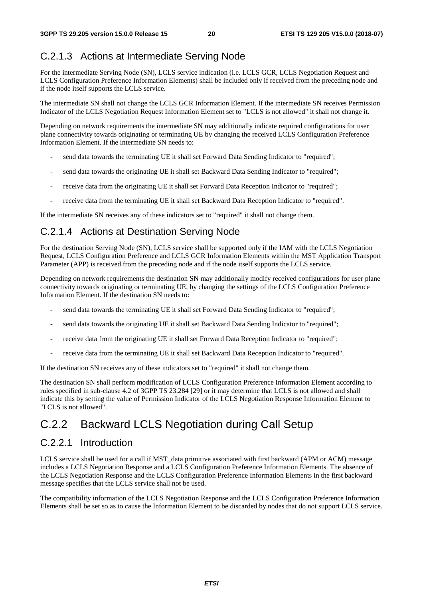### C.2.1.3 Actions at Intermediate Serving Node

For the intermediate Serving Node (SN), LCLS service indication (i.e. LCLS GCR, LCLS Negotiation Request and LCLS Configuration Preference Information Elements) shall be included only if received from the preceding node and if the node itself supports the LCLS service.

The intermediate SN shall not change the LCLS GCR Information Element. If the intermediate SN receives Permission Indicator of the LCLS Negotiation Request Information Element set to "LCLS is not allowed" it shall not change it.

Depending on network requirements the intermediate SN may additionally indicate required configurations for user plane connectivity towards originating or terminating UE by changing the received LCLS Configuration Preference Information Element. If the intermediate SN needs to:

- send data towards the terminating UE it shall set Forward Data Sending Indicator to "required";
- send data towards the originating UE it shall set Backward Data Sending Indicator to "required";
- receive data from the originating UE it shall set Forward Data Reception Indicator to "required";
- receive data from the terminating UE it shall set Backward Data Reception Indicator to "required".

If the intermediate SN receives any of these indicators set to "required" it shall not change them.

## C.2.1.4 Actions at Destination Serving Node

For the destination Serving Node (SN), LCLS service shall be supported only if the IAM with the LCLS Negotiation Request, LCLS Configuration Preference and LCLS GCR Information Elements within the MST Application Transport Parameter (APP) is received from the preceding node and if the node itself supports the LCLS service.

Depending on network requirements the destination SN may additionally modify received configurations for user plane connectivity towards originating or terminating UE, by changing the settings of the LCLS Configuration Preference Information Element. If the destination SN needs to:

- send data towards the terminating UE it shall set Forward Data Sending Indicator to "required";
- send data towards the originating UE it shall set Backward Data Sending Indicator to "required";
- receive data from the originating UE it shall set Forward Data Reception Indicator to "required";
- receive data from the terminating UE it shall set Backward Data Reception Indicator to "required".

If the destination SN receives any of these indicators set to "required" it shall not change them.

The destination SN shall perform modification of LCLS Configuration Preference Information Element according to rules specified in sub-clause 4.2 of 3GPP TS 23.284 [29] or it may determine that LCLS is not allowed and shall indicate this by setting the value of Permission Indicator of the LCLS Negotiation Response Information Element to "LCLS is not allowed".

## C.2.2 Backward LCLS Negotiation during Call Setup

### C.2.2.1 Introduction

LCLS service shall be used for a call if MST\_data primitive associated with first backward (APM or ACM) message includes a LCLS Negotiation Response and a LCLS Configuration Preference Information Elements. The absence of the LCLS Negotiation Response and the LCLS Configuration Preference Information Elements in the first backward message specifies that the LCLS service shall not be used.

The compatibility information of the LCLS Negotiation Response and the LCLS Configuration Preference Information Elements shall be set so as to cause the Information Element to be discarded by nodes that do not support LCLS service.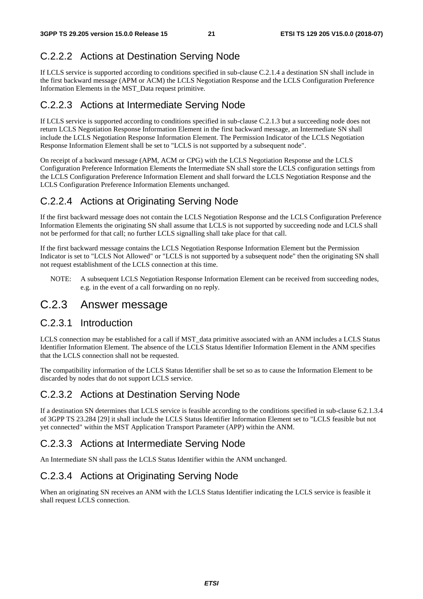### C.2.2.2 Actions at Destination Serving Node

If LCLS service is supported according to conditions specified in sub-clause C.2.1.4 a destination SN shall include in the first backward message (APM or ACM) the LCLS Negotiation Response and the LCLS Configuration Preference Information Elements in the MST\_Data request primitive.

### C.2.2.3 Actions at Intermediate Serving Node

If LCLS service is supported according to conditions specified in sub-clause C.2.1.3 but a succeeding node does not return LCLS Negotiation Response Information Element in the first backward message, an Intermediate SN shall include the LCLS Negotiation Response Information Element. The Permission Indicator of the LCLS Negotiation Response Information Element shall be set to "LCLS is not supported by a subsequent node".

On receipt of a backward message (APM, ACM or CPG) with the LCLS Negotiation Response and the LCLS Configuration Preference Information Elements the Intermediate SN shall store the LCLS configuration settings from the LCLS Configuration Preference Information Element and shall forward the LCLS Negotiation Response and the LCLS Configuration Preference Information Elements unchanged.

### C.2.2.4 Actions at Originating Serving Node

If the first backward message does not contain the LCLS Negotiation Response and the LCLS Configuration Preference Information Elements the originating SN shall assume that LCLS is not supported by succeeding node and LCLS shall not be performed for that call; no further LCLS signalling shall take place for that call.

If the first backward message contains the LCLS Negotiation Response Information Element but the Permission Indicator is set to "LCLS Not Allowed" or "LCLS is not supported by a subsequent node" then the originating SN shall not request establishment of the LCLS connection at this time.

NOTE: A subsequent LCLS Negotiation Response Information Element can be received from succeeding nodes, e.g. in the event of a call forwarding on no reply.

### C.2.3 Answer message

### C.2.3.1 Introduction

LCLS connection may be established for a call if MST data primitive associated with an ANM includes a LCLS Status Identifier Information Element. The absence of the LCLS Status Identifier Information Element in the ANM specifies that the LCLS connection shall not be requested.

The compatibility information of the LCLS Status Identifier shall be set so as to cause the Information Element to be discarded by nodes that do not support LCLS service.

### C.2.3.2 Actions at Destination Serving Node

If a destination SN determines that LCLS service is feasible according to the conditions specified in sub-clause 6.2.1.3.4 of 3GPP TS 23.284 [29] it shall include the LCLS Status Identifier Information Element set to "LCLS feasible but not yet connected" within the MST Application Transport Parameter (APP) within the ANM.

### C.2.3.3 Actions at Intermediate Serving Node

An Intermediate SN shall pass the LCLS Status Identifier within the ANM unchanged.

### C.2.3.4 Actions at Originating Serving Node

When an originating SN receives an ANM with the LCLS Status Identifier indicating the LCLS service is feasible it shall request LCLS connection.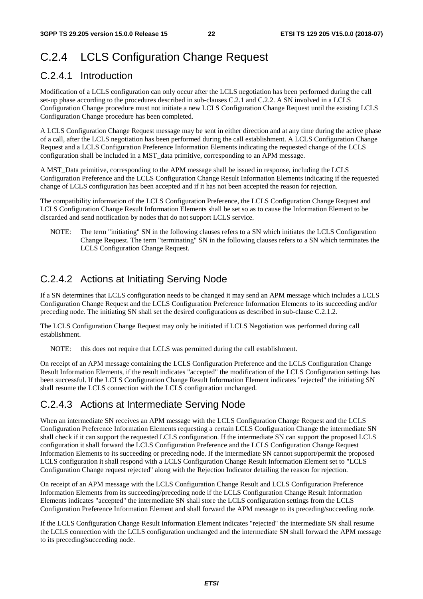## C.2.4 LCLS Configuration Change Request

### C.2.4.1 Introduction

Modification of a LCLS configuration can only occur after the LCLS negotiation has been performed during the call set-up phase according to the procedures described in sub-clauses C.2.1 and C.2.2. A SN involved in a LCLS Configuration Change procedure must not initiate a new LCLS Configuration Change Request until the existing LCLS Configuration Change procedure has been completed.

A LCLS Configuration Change Request message may be sent in either direction and at any time during the active phase of a call, after the LCLS negotiation has been performed during the call establishment. A LCLS Configuration Change Request and a LCLS Configuration Preference Information Elements indicating the requested change of the LCLS configuration shall be included in a MST\_data primitive, corresponding to an APM message.

A MST\_Data primitive, corresponding to the APM message shall be issued in response, including the LCLS Configuration Preference and the LCLS Configuration Change Result Information Elements indicating if the requested change of LCLS configuration has been accepted and if it has not been accepted the reason for rejection.

The compatibility information of the LCLS Configuration Preference, the LCLS Configuration Change Request and LCLS Configuration Change Result Information Elements shall be set so as to cause the Information Element to be discarded and send notification by nodes that do not support LCLS service.

NOTE: The term "initiating" SN in the following clauses refers to a SN which initiates the LCLS Configuration Change Request. The term "terminating" SN in the following clauses refers to a SN which terminates the LCLS Configuration Change Request.

### C.2.4.2 Actions at Initiating Serving Node

If a SN determines that LCLS configuration needs to be changed it may send an APM message which includes a LCLS Configuration Change Request and the LCLS Configuration Preference Information Elements to its succeeding and/or preceding node. The initiating SN shall set the desired configurations as described in sub-clause C.2.1.2.

The LCLS Configuration Change Request may only be initiated if LCLS Negotiation was performed during call establishment.

NOTE: this does not require that LCLS was permitted during the call establishment.

On receipt of an APM message containing the LCLS Configuration Preference and the LCLS Configuration Change Result Information Elements, if the result indicates "accepted" the modification of the LCLS Configuration settings has been successful. If the LCLS Configuration Change Result Information Element indicates "rejected" the initiating SN shall resume the LCLS connection with the LCLS configuration unchanged.

### C.2.4.3 Actions at Intermediate Serving Node

When an intermediate SN receives an APM message with the LCLS Configuration Change Request and the LCLS Configuration Preference Information Elements requesting a certain LCLS Configuration Change the intermediate SN shall check if it can support the requested LCLS configuration. If the intermediate SN can support the proposed LCLS configuration it shall forward the LCLS Configuration Preference and the LCLS Configuration Change Request Information Elements to its succeeding or preceding node. If the intermediate SN cannot support/permit the proposed LCLS configuration it shall respond with a LCLS Configuration Change Result Information Element set to "LCLS Configuration Change request rejected" along with the Rejection Indicator detailing the reason for rejection.

On receipt of an APM message with the LCLS Configuration Change Result and LCLS Configuration Preference Information Elements from its succeeding/preceding node if the LCLS Configuration Change Result Information Elements indicates "accepted" the intermediate SN shall store the LCLS configuration settings from the LCLS Configuration Preference Information Element and shall forward the APM message to its preceding/succeeding node.

If the LCLS Configuration Change Result Information Element indicates "rejected" the intermediate SN shall resume the LCLS connection with the LCLS configuration unchanged and the intermediate SN shall forward the APM message to its preceding/succeeding node.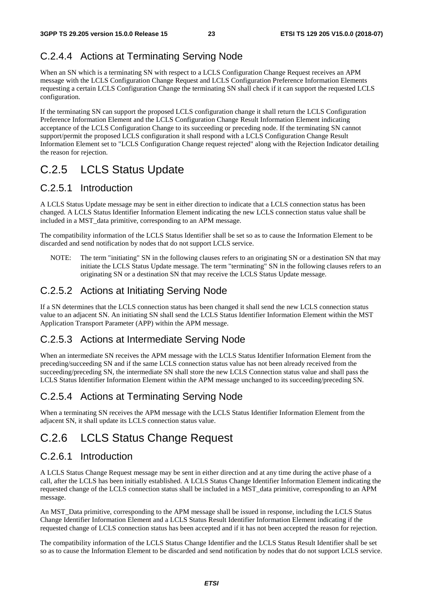## C.2.4.4 Actions at Terminating Serving Node

When an SN which is a terminating SN with respect to a LCLS Configuration Change Request receives an APM message with the LCLS Configuration Change Request and LCLS Configuration Preference Information Elements requesting a certain LCLS Configuration Change the terminating SN shall check if it can support the requested LCLS configuration.

If the terminating SN can support the proposed LCLS configuration change it shall return the LCLS Configuration Preference Information Element and the LCLS Configuration Change Result Information Element indicating acceptance of the LCLS Configuration Change to its succeeding or preceding node. If the terminating SN cannot support/permit the proposed LCLS configuration it shall respond with a LCLS Configuration Change Result Information Element set to "LCLS Configuration Change request rejected" along with the Rejection Indicator detailing the reason for rejection.

## C.2.5 LCLS Status Update

## C.2.5.1 Introduction

A LCLS Status Update message may be sent in either direction to indicate that a LCLS connection status has been changed. A LCLS Status Identifier Information Element indicating the new LCLS connection status value shall be included in a MST\_data primitive, corresponding to an APM message.

The compatibility information of the LCLS Status Identifier shall be set so as to cause the Information Element to be discarded and send notification by nodes that do not support LCLS service.

NOTE: The term "initiating" SN in the following clauses refers to an originating SN or a destination SN that may initiate the LCLS Status Update message. The term "terminating" SN in the following clauses refers to an originating SN or a destination SN that may receive the LCLS Status Update message.

### C.2.5.2 Actions at Initiating Serving Node

If a SN determines that the LCLS connection status has been changed it shall send the new LCLS connection status value to an adjacent SN. An initiating SN shall send the LCLS Status Identifier Information Element within the MST Application Transport Parameter (APP) within the APM message.

### C.2.5.3 Actions at Intermediate Serving Node

When an intermediate SN receives the APM message with the LCLS Status Identifier Information Element from the preceding/succeeding SN and if the same LCLS connection status value has not been already received from the succeeding/preceding SN, the intermediate SN shall store the new LCLS Connection status value and shall pass the LCLS Status Identifier Information Element within the APM message unchanged to its succeeding/preceding SN.

## C.2.5.4 Actions at Terminating Serving Node

When a terminating SN receives the APM message with the LCLS Status Identifier Information Element from the adjacent SN, it shall update its LCLS connection status value.

## C.2.6 LCLS Status Change Request

### C.2.6.1 Introduction

A LCLS Status Change Request message may be sent in either direction and at any time during the active phase of a call, after the LCLS has been initially established. A LCLS Status Change Identifier Information Element indicating the requested change of the LCLS connection status shall be included in a MST\_data primitive, corresponding to an APM message.

An MST\_Data primitive, corresponding to the APM message shall be issued in response, including the LCLS Status Change Identifier Information Element and a LCLS Status Result Identifier Information Element indicating if the requested change of LCLS connection status has been accepted and if it has not been accepted the reason for rejection.

The compatibility information of the LCLS Status Change Identifier and the LCLS Status Result Identifier shall be set so as to cause the Information Element to be discarded and send notification by nodes that do not support LCLS service.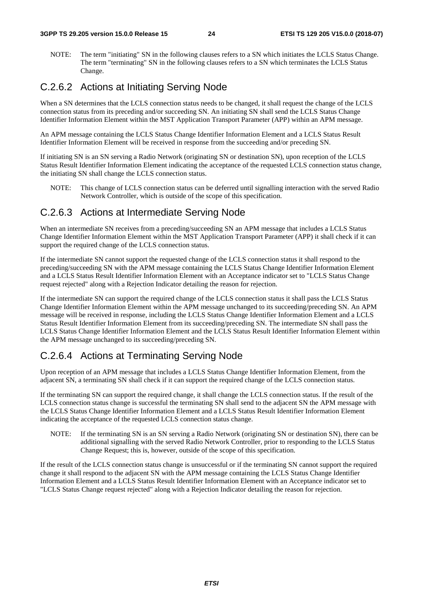NOTE: The term "initiating" SN in the following clauses refers to a SN which initiates the LCLS Status Change. The term "terminating" SN in the following clauses refers to a SN which terminates the LCLS Status Change.

### C.2.6.2 Actions at Initiating Serving Node

When a SN determines that the LCLS connection status needs to be changed, it shall request the change of the LCLS connection status from its preceding and/or succeeding SN. An initiating SN shall send the LCLS Status Change Identifier Information Element within the MST Application Transport Parameter (APP) within an APM message.

An APM message containing the LCLS Status Change Identifier Information Element and a LCLS Status Result Identifier Information Element will be received in response from the succeeding and/or preceding SN.

If initiating SN is an SN serving a Radio Network (originating SN or destination SN), upon reception of the LCLS Status Result Identifier Information Element indicating the acceptance of the requested LCLS connection status change, the initiating SN shall change the LCLS connection status.

NOTE: This change of LCLS connection status can be deferred until signalling interaction with the served Radio Network Controller, which is outside of the scope of this specification.

### C.2.6.3 Actions at Intermediate Serving Node

When an intermediate SN receives from a preceding/succeeding SN an APM message that includes a LCLS Status Change Identifier Information Element within the MST Application Transport Parameter (APP) it shall check if it can support the required change of the LCLS connection status.

If the intermediate SN cannot support the requested change of the LCLS connection status it shall respond to the preceding/succeeding SN with the APM message containing the LCLS Status Change Identifier Information Element and a LCLS Status Result Identifier Information Element with an Acceptance indicator set to "LCLS Status Change request rejected" along with a Rejection Indicator detailing the reason for rejection.

If the intermediate SN can support the required change of the LCLS connection status it shall pass the LCLS Status Change Identifier Information Element within the APM message unchanged to its succeeding/preceding SN. An APM message will be received in response, including the LCLS Status Change Identifier Information Element and a LCLS Status Result Identifier Information Element from its succeeding/preceding SN. The intermediate SN shall pass the LCLS Status Change Identifier Information Element and the LCLS Status Result Identifier Information Element within the APM message unchanged to its succeeding/preceding SN.

## C.2.6.4 Actions at Terminating Serving Node

Upon reception of an APM message that includes a LCLS Status Change Identifier Information Element, from the adjacent SN, a terminating SN shall check if it can support the required change of the LCLS connection status.

If the terminating SN can support the required change, it shall change the LCLS connection status. If the result of the LCLS connection status change is successful the terminating SN shall send to the adjacent SN the APM message with the LCLS Status Change Identifier Information Element and a LCLS Status Result Identifier Information Element indicating the acceptance of the requested LCLS connection status change.

NOTE: If the terminating SN is an SN serving a Radio Network (originating SN or destination SN), there can be additional signalling with the served Radio Network Controller, prior to responding to the LCLS Status Change Request; this is, however, outside of the scope of this specification.

If the result of the LCLS connection status change is unsuccessful or if the terminating SN cannot support the required change it shall respond to the adjacent SN with the APM message containing the LCLS Status Change Identifier Information Element and a LCLS Status Result Identifier Information Element with an Acceptance indicator set to "LCLS Status Change request rejected" along with a Rejection Indicator detailing the reason for rejection.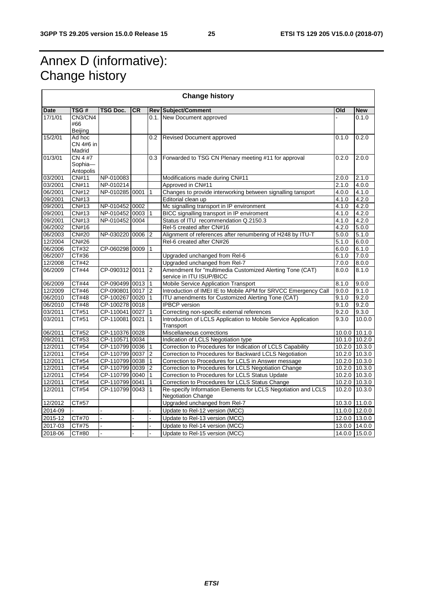┑

## Annex D (informative): Change history

 $\blacksquare$ 

| <b>Change history</b> |                                 |                  |    |                 |                                                                                            |       |                 |
|-----------------------|---------------------------------|------------------|----|-----------------|--------------------------------------------------------------------------------------------|-------|-----------------|
| <b>Date</b>           | TSG#                            | TSG Doc.         | CR |                 | <b>Rev Subject/Comment</b>                                                                 | Old   | <b>New</b>      |
| 17/1/01               | CN3/CN4<br>#66<br>Beijing       |                  |    |                 | 0.1. New Document approved                                                                 |       | 0.1.0           |
| 15/2/01               | Ad hoc<br>CN 4#6 in<br>Madrid   |                  |    | 0.2             | <b>Revised Document approved</b>                                                           | 0.1.0 | 0.2.0           |
| 01/3/01               | CN 4 #7<br>Sophia-<br>Antopolis |                  |    | 0.3             | Forwarded to TSG CN Plenary meeting #11 for approval                                       | 0.2.0 | 2.0.0           |
| 03/2001               | CN#11                           | NP-010083        |    |                 | Modifications made during CN#11                                                            | 2.0.0 | 2.1.0           |
| 03/2001               | CN#11                           | NP-010214        |    |                 | Approved in CN#11                                                                          | 2.1.0 | 4.0.0           |
| 06/2001               | <b>CN#12</b>                    | NP-010285 0001   |    | $\mathbf{1}$    | Changes to provide interworking between signalling tansport                                | 4.0.0 | 4.1.0           |
| 09/2001               | CN#13                           |                  |    |                 | Editorial clean up                                                                         | 4.1.0 | 4.2.0           |
| 09/2001               | CN#13                           | NP-010452 0002   |    |                 | Mc signalling transport in IP environment                                                  | 4.1.0 | 4.2.0           |
| 09/2001               | CN#13                           | NP-010452 0003 1 |    |                 | BICC signalling transport in IP enviroment                                                 | 4.1.0 | 4.2.0           |
| 09/2001               | <b>CN#13</b>                    | NP-010452 0004   |    |                 | Status of ITU recommendation Q.2150.3                                                      | 4.1.0 | 4.2.0           |
| 06/2002               | <b>CN#16</b>                    |                  |    |                 | Rel-5 created after CN#16                                                                  | 4.2.0 | 5.0.0           |
| 06/2003               | <b>CN#20</b>                    | NP-030220 0006 2 |    |                 | Alignment of references after renumbering of H248 by ITU-T                                 | 5.0.0 | 5.1.0           |
| 12/2004               | <b>CN#26</b>                    |                  |    |                 | Rel-6 created after CN#26                                                                  | 5.1.0 | 6.0.0           |
| 06/2006               | CT#32                           | CP-060298 0009   |    | $\overline{11}$ |                                                                                            | 6.0.0 | 6.1.0           |
| 06/2007               | CT#36                           |                  |    |                 | Upgraded unchanged from Rel-6                                                              | 6.1.0 | 7.0.0           |
| 12/2008               | CT#42                           |                  |    |                 | Upgraded unchanged from Rel-7                                                              | 7.0.0 | 8.0.0           |
| 06/2009               | CT#44                           | CP-090312 0011   |    | 2               | Amendment for "multimedia Customized Alerting Tone (CAT)<br>service in ITU ISUP/BICC       | 8.0.0 | 8.1.0           |
| 06/2009               | CT#44                           | CP-090499 0013 1 |    |                 | Mobile Service Application Transport                                                       | 8.1.0 | 9.0.0           |
| 12/2009               | CT#46                           | CP-090801 0017   |    | 2               | Introduction of IMEI IE to Mobile APM for SRVCC Emergency Call                             | 9.0.0 | 9.1.0           |
| 06/2010               | CT#48                           | CP-100267 0020   |    | $\vert$ 1       | ITU amendments for Customized Alerting Tone (CAT)                                          | 9.1.0 | 9.2.0           |
| 06/2010               | CT#48                           | CP-100278 0018   |    |                 | <b>IPBCP</b> version                                                                       | 9.1.0 | 9.2.0           |
| 03/2011               | CT#51                           | CP-110041 0027   |    | $\mathbf{1}$    | Correcting non-specific external references                                                | 9.2.0 | 9.3.0           |
| 03/2011               | CT#51                           | CP-110081 0021   |    | $\vert$ 1       | Introduction of LCLS Application to Mobile Service Application<br>Transport                | 9.3.0 | 10.0.0          |
| 06/2011               | CT#52                           | CP-110376 0028   |    |                 | Miscellaneous corrections                                                                  |       | 10.0.0 10.1.0   |
| 09/2011               | CT#53                           | CP-110571 0034   |    |                 | Indication of LCLS Negotiation type                                                        |       | 10.1.0 10.2.0   |
| 12/2011               | CT#54                           | CP-110799 0036 1 |    |                 | Correction to Procedures for Indication of LCLS Capability                                 |       | 10.2.0 10.3.0   |
| 12/2011               | CT#54                           | CP-110799 0037   |    | 2               | Correction to Procedures for Backward LCLS Negotiation                                     |       | 10.2.0 10.3.0   |
| 12/2011               | CT#54                           | CP-110799 0038   |    |                 | Correction to Procedures for LCLS in Answer message                                        |       | 10.2.0 10.3.0   |
| 12/2011               | CT#54                           | CP-110799 0039   |    | 2               | Correction to Procedures for LCLS Negotiation Change                                       |       | 10.2.0 10.3.0   |
| 12/2011               | CT#54                           | CP-110799 0040   |    | $\overline{11}$ | Correction to Procedures for LCLS Status Update                                            |       | 10.2.0 10.3.0   |
| 12/2011               | CT#54                           | CP-110799 0041   |    | $\mathbf{1}$    | Correction to Procedures for LCLS Status Change                                            |       | $10.2.0$ 10.3.0 |
| 12/2011               | CT#54                           | CP-110799 0043   |    | $\vert$ 1       | Re-specify Information Elements for LCLS Negotiation and LCLS<br><b>Negotiation Change</b> |       | 10.2.0 10.3.0   |
| 12/2012               | CT#57                           |                  |    |                 | Upgraded unchanged from Rel-7                                                              |       | 10.3.0 11.0.0   |
| 2014-09               |                                 |                  |    |                 | Update to Rel-12 version (MCC)                                                             |       | 11.0.0 12.0.0   |
| 2015-12               | CT#70                           |                  |    |                 | Update to Rel-13 version (MCC)                                                             |       | 12.0.0 13.0.0   |
| 2017-03               | CT#75                           |                  |    | $\overline{a}$  | Update to Rel-14 version (MCC)                                                             |       | 13.0.0 14.0.0   |
| 2018-06               | CT#80                           |                  |    | L.              | Update to Rel-15 version (MCC)                                                             |       | 14.0.0 15.0.0   |
|                       |                                 |                  |    |                 |                                                                                            |       |                 |